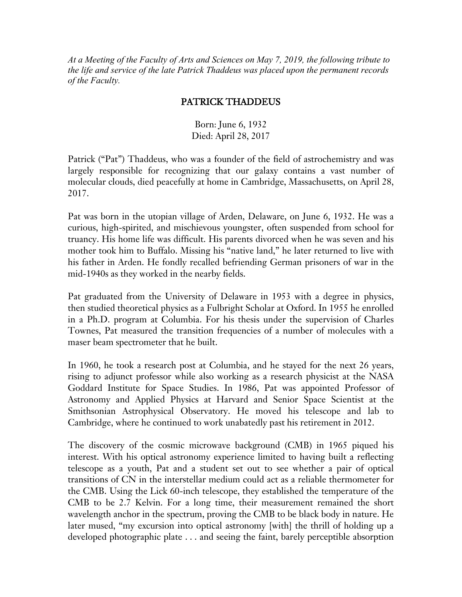*At a Meeting of the Faculty of Arts and Sciences on May 7, 2019, the following tribute to the life and service of the late Patrick Thaddeus was placed upon the permanent records of the Faculty.*

## PATRICK THADDEUS

Born: June 6, 1932 Died: April 28, 2017

Patrick ("Pat") Thaddeus, who was a founder of the field of astrochemistry and was largely responsible for recognizing that our galaxy contains a vast number of molecular clouds, died peacefully at home in Cambridge, Massachusetts, on April 28, 2017.

Pat was born in the utopian village of Arden, Delaware, on June 6, 1932. He was a curious, high-spirited, and mischievous youngster, often suspended from school for truancy. His home life was difficult. His parents divorced when he was seven and his mother took him to Buffalo. Missing his "native land," he later returned to live with his father in Arden. He fondly recalled befriending German prisoners of war in the mid-1940s as they worked in the nearby fields.

Pat graduated from the University of Delaware in 1953 with a degree in physics, then studied theoretical physics as a Fulbright Scholar at Oxford. In 1955 he enrolled in a Ph.D. program at Columbia. For his thesis under the supervision of Charles Townes, Pat measured the transition frequencies of a number of molecules with a maser beam spectrometer that he built.

In 1960, he took a research post at Columbia, and he stayed for the next 26 years, rising to adjunct professor while also working as a research physicist at the NASA Goddard Institute for Space Studies. In 1986, Pat was appointed Professor of Astronomy and Applied Physics at Harvard and Senior Space Scientist at the Smithsonian Astrophysical Observatory. He moved his telescope and lab to Cambridge, where he continued to work unabatedly past his retirement in 2012.

The discovery of the cosmic microwave background (CMB) in 1965 piqued his interest. With his optical astronomy experience limited to having built a reflecting telescope as a youth, Pat and a student set out to see whether a pair of optical transitions of CN in the interstellar medium could act as a reliable thermometer for the CMB. Using the Lick 60-inch telescope, they established the temperature of the CMB to be 2.7 Kelvin. For a long time, their measurement remained the short wavelength anchor in the spectrum, proving the CMB to be black body in nature. He later mused, "my excursion into optical astronomy [with] the thrill of holding up a developed photographic plate . . . and seeing the faint, barely perceptible absorption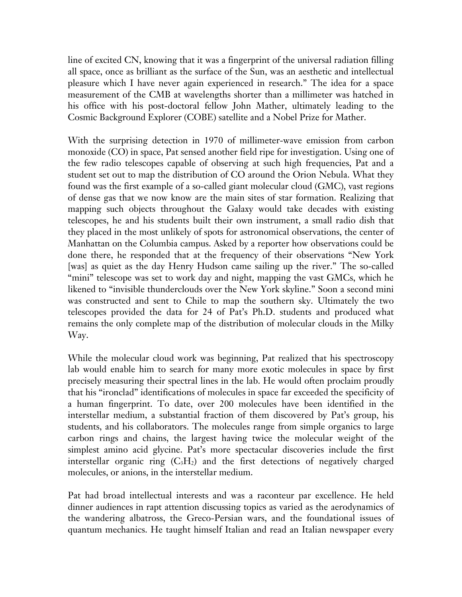line of excited CN, knowing that it was a fingerprint of the universal radiation filling all space, once as brilliant as the surface of the Sun, was an aesthetic and intellectual pleasure which I have never again experienced in research." The idea for a space measurement of the CMB at wavelengths shorter than a millimeter was hatched in his office with his post-doctoral fellow John Mather, ultimately leading to the Cosmic Background Explorer (COBE) satellite and a Nobel Prize for Mather.

With the surprising detection in 1970 of millimeter-wave emission from carbon monoxide (CO) in space, Pat sensed another field ripe for investigation. Using one of the few radio telescopes capable of observing at such high frequencies, Pat and a student set out to map the distribution of CO around the Orion Nebula. What they found was the first example of a so-called giant molecular cloud (GMC), vast regions of dense gas that we now know are the main sites of star formation. Realizing that mapping such objects throughout the Galaxy would take decades with existing telescopes, he and his students built their own instrument, a small radio dish that they placed in the most unlikely of spots for astronomical observations, the center of Manhattan on the Columbia campus. Asked by a reporter how observations could be done there, he responded that at the frequency of their observations "New York [was] as quiet as the day Henry Hudson came sailing up the river." The so-called "mini" telescope was set to work day and night, mapping the vast GMCs, which he likened to "invisible thunderclouds over the New York skyline." Soon a second mini was constructed and sent to Chile to map the southern sky. Ultimately the two telescopes provided the data for 24 of Pat's Ph.D. students and produced what remains the only complete map of the distribution of molecular clouds in the Milky Way.

While the molecular cloud work was beginning, Pat realized that his spectroscopy lab would enable him to search for many more exotic molecules in space by first precisely measuring their spectral lines in the lab. He would often proclaim proudly that his "ironclad" identifications of molecules in space far exceeded the specificity of a human fingerprint. To date, over 200 molecules have been identified in the interstellar medium, a substantial fraction of them discovered by Pat's group, his students, and his collaborators. The molecules range from simple organics to large carbon rings and chains, the largest having twice the molecular weight of the simplest amino acid glycine. Pat's more spectacular discoveries include the first interstellar organic ring  $(C_3H_2)$  and the first detections of negatively charged molecules, or anions, in the interstellar medium.

Pat had broad intellectual interests and was a raconteur par excellence. He held dinner audiences in rapt attention discussing topics as varied as the aerodynamics of the wandering albatross, the Greco-Persian wars, and the foundational issues of quantum mechanics. He taught himself Italian and read an Italian newspaper every